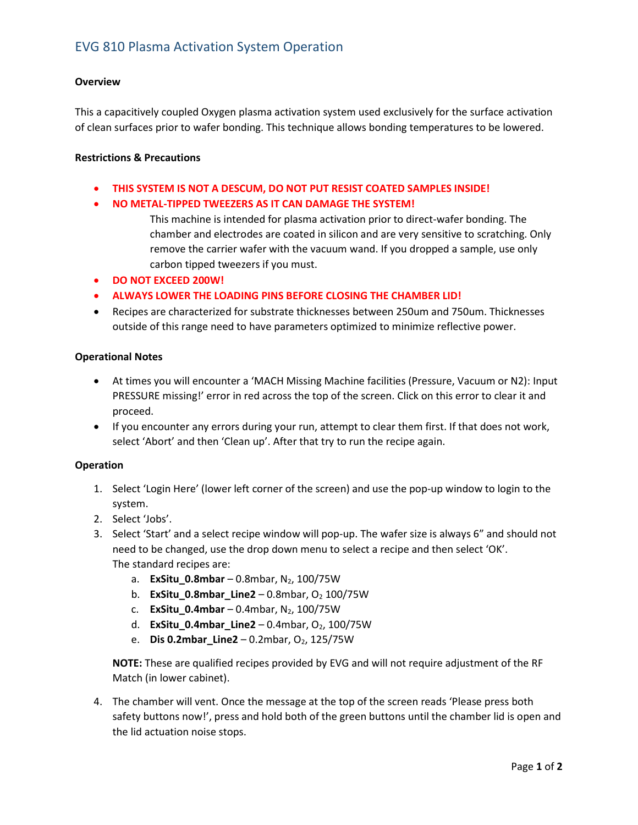# EVG 810 Plasma Activation System Operation

### **Overview**

This a capacitively coupled Oxygen plasma activation system used exclusively for the surface activation of clean surfaces prior to wafer bonding. This technique allows bonding temperatures to be lowered.

#### Restrictions & Precautions

- THIS SYSTEM IS NOT A DESCUM, DO NOT PUT RESIST COATED SAMPLES INSIDE!
- NO METAL-TIPPED TWEEZERS AS IT CAN DAMAGE THE SYSTEM!
	- This machine is intended for plasma activation prior to direct-wafer bonding. The chamber and electrodes are coated in silicon and are very sensitive to scratching. Only remove the carrier wafer with the vacuum wand. If you dropped a sample, use only carbon tipped tweezers if you must.
- DO NOT EXCEED 200W!
- ALWAYS LOWER THE LOADING PINS BEFORE CLOSING THE CHAMBER LID!
- Recipes are characterized for substrate thicknesses between 250um and 750um. Thicknesses outside of this range need to have parameters optimized to minimize reflective power.

#### Operational Notes

- At times you will encounter a 'MACH Missing Machine facilities (Pressure, Vacuum or N2): Input PRESSURE missing!' error in red across the top of the screen. Click on this error to clear it and proceed.
- If you encounter any errors during your run, attempt to clear them first. If that does not work, select 'Abort' and then 'Clean up'. After that try to run the recipe again.

#### Operation

- 1. Select 'Login Here' (lower left corner of the screen) and use the pop-up window to login to the system.
- 2. Select 'Jobs'.
- 3. Select 'Start' and a select recipe window will pop-up. The wafer size is always 6" and should not need to be changed, use the drop down menu to select a recipe and then select 'OK'. The standard recipes are:
	- a. **ExSitu\_0.8mbar** 0.8mbar,  $N_2$ , 100/75W
	- b. ExSitu\_0.8mbar\_Line2 0.8mbar,  $O<sub>2</sub>$  100/75W
	- c. ExSitu 0.4mbar 0.4mbar, N<sub>2</sub>, 100/75W
	- d. **ExSitu\_0.4mbar\_Line2** 0.4mbar,  $O_2$ , 100/75W
	- e. **Dis 0.2mbar\_Line2** 0.2mbar,  $O_2$ , 125/75W

NOTE: These are qualified recipes provided by EVG and will not require adjustment of the RF Match (in lower cabinet).

4. The chamber will vent. Once the message at the top of the screen reads 'Please press both safety buttons now!', press and hold both of the green buttons until the chamber lid is open and the lid actuation noise stops.